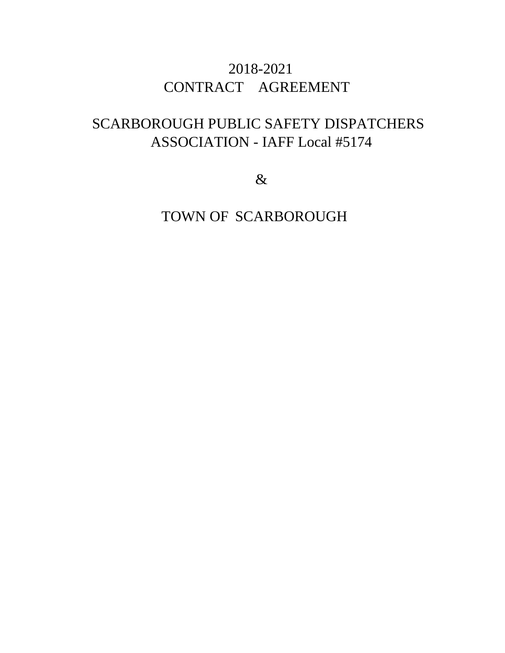# 2018-2021 CONTRACT AGREEMENT

# SCARBOROUGH PUBLIC SAFETY DISPATCHERS ASSOCIATION - IAFF Local #5174

&

TOWN OF SCARBOROUGH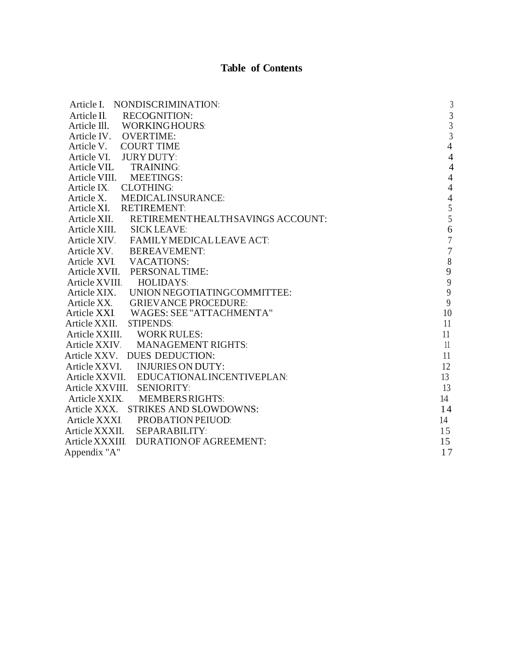#### **Table of Contents**

| Article I. NONDISCRIMINATION:                 | $\sqrt{3}$     |
|-----------------------------------------------|----------------|
| Article Il.<br><b>RECOGNITION:</b>            | $\overline{3}$ |
| Article III. WORKINGHOURS:                    | $\overline{3}$ |
| Article IV. OVERTIME:                         | $\overline{3}$ |
| Article V. COURT TIME                         | $\overline{4}$ |
| Article VI. JURY DUTY:                        | $\overline{4}$ |
| Article VIL TRAINING:                         | $\overline{4}$ |
| Article VIII. MEETINGS:                       | $\overline{4}$ |
| Article IX. CLOTHING:                         | $\overline{4}$ |
| Article X. MEDICALINSURANCE:                  | $\overline{4}$ |
| Article XI. RETIREMENT:                       | 5              |
| Article XII. RETIREMENTHEALTHSAVINGS ACCOUNT: | 5              |
| Article XIII. SICK LEAVE:                     | 6              |
| Article XIV. FAMILY MEDICAL LEAVE ACT:        | $\overline{7}$ |
| Article XV. BEREAVEMENT:                      | $\overline{7}$ |
| Article XVI. VACATIONS:                       | $\,8\,$        |
| Article XVII. PERSONAL TIME:                  | 9              |
| Article XVIII.<br>HOLIDAYS:                   | $\frac{9}{9}$  |
| Article XIX. UNION NEGOTIATINGCOMMITTEE:      |                |
| Article XX.<br><b>GRIEVANCE PROCEDURE:</b>    | 9              |
| Article XXI WAGES: SEE "ATTACHMENTA"          | 10             |
| <b>STIPENDS:</b><br>Article XXII.             | 11             |
| Article XXIII. WORK RULES:                    | 11             |
| Article XXIV. MANAGEMENT RIGHTS:              | 11             |
| Article XXV. DUES DEDUCTION:                  | 11             |
| Article XXVI. INJURIES ON DUTY:               | 12             |
| Article XXVII. EDUCATIONALINCENTIVEPLAN:      | 13             |
| Article XXVIII. SENIORITY:                    | 13             |
| Article XXIX.<br><b>MEMBERS RIGHTS:</b>       | 14             |
| Article XXX. STRIKES AND SLOWDOWNS:           | 14             |
| Article XXXI<br><b>PROBATION PEIUOD:</b>      | 14             |
| Article XXXII.<br><b>SEPARABILITY:</b>        | 15             |
| Article XXXIII. DURATIONOF AGREEMENT:         | 15             |
| Appendix "A"                                  | 17             |
|                                               |                |
|                                               |                |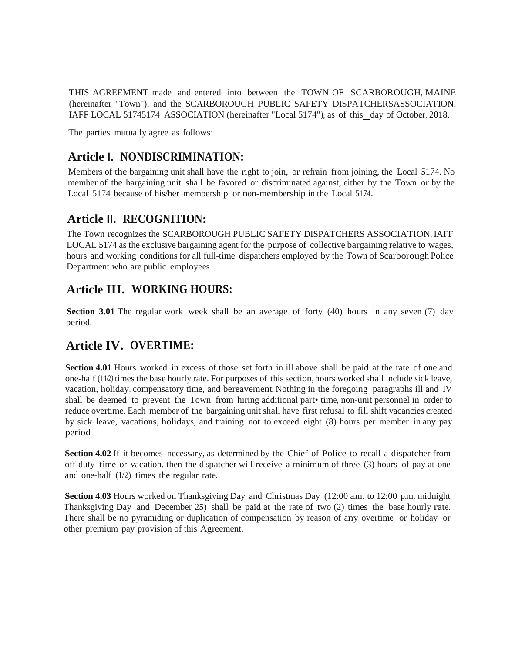THIS AGREEMENT made and entered into between the TOWN OF SCARBOROUGH, MAINE (hereinafter "Town"), and the SCARBOROUGH PUBLIC SAFETY DISPATCHERSASSOCIATION, IAFF LOCAL 51745174 ASSOCIATION (hereinafter "Local 5174"), as of this day of October, 2018.

The parties mutually agree as follows:

### **Article I. NONDISCRIMINATION:**

Members of the bargaining unit shall have the right to join, or refrain from joining, the Local 5174. No member of the bargaining unit shall be favored or discriminated against, either by the Town or by the Local 5174 because of his/her membership or non-membership in the Local 5174.

#### **Article II. RECOGNITION:**

The Town recognizes the SCARBOROUGH PUBLIC SAFETY DISPATCHERS ASSOCIATION, IAFF LOCAL 5174 as the exclusive bargaining agent for the purpose of collective bargaining relative to wages, hours and working conditions for all full-time dispatchers employed by the Town of Scarborough Police Department who are public employees.

### **Article III. WORKING HOURS:**

**Section 3.01** The regular work week shall be an average of forty (40) hours in any seven (7) day period.

### **Article IV. OVERTIME:**

**Section 4.01** Hours worked in excess of those set forth in ill above shall be paid at the rate of one and one-half (1 1/2*)* times the base hourly rate. For purposes of this section, hours worked shall include sick leave, vacation, holiday, compensatory time, and bereavement. Nothing in the foregoing paragraphs ill and IV shall be deemed to prevent the Town from hiring additional part• time, non-unit personnel in order to reduce overtime. Each member of the bargaining unit shall have first refusal to fill shift vacancies created by sick leave, vacations, holidays, and training not to exceed eight (8) hours per member in any pay period

**Section 4.02** If it becomes necessary, as determined by the Chief of Police, to recall a dispatcher from off-duty time or vacation, then the dispatcher will receive a minimum of three (3) hours of pay at one and one-half (1/2) times the regular rate.

**Section 4.03** Hours worked on Thanksgiving Day and Christmas Day (12:00 a.m. to 12:00 p.m. midnight Thanksgiving Day and December 25) shall be paid at the rate of two (2) times the base hourly rate. There shall be no pyramiding or duplication of compensation by reason of any overtime or holiday or other premium pay provision of this Agreement.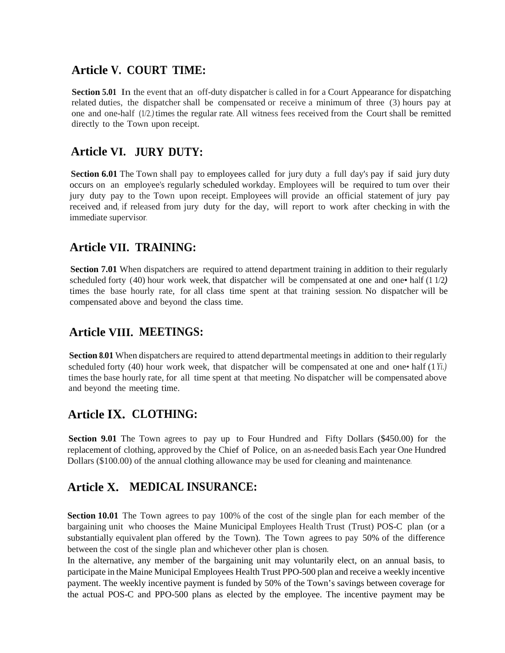#### **Article V. COURT TIME:**

**Section 5.01** In the event that an off-duty dispatcher is called in for a Court Appearance for dispatching related duties, the dispatcher shall be compensated or receive a minimum of three (3) hours pay at one and one-half (1/2*.)* times the regular rate. All witness fees received from the Court shall be remitted directly to the Town upon receipt.

#### **Article VI.JURY DUTY:**

**Section 6.01** The Town shall pay to employees called for jury duty a full day's pay if said jury duty occurs on an employee's regularly scheduled workday. Employees will be required to tum over their jury duty pay to the Town upon receipt. Employees will provide an official statement of jury pay received and, if released from jury duty for the day, will report to work after checking in with the immediate supervisor.

#### **Article VII. TRAINING:**

**Section 7.01** When dispatchers are required to attend department training in addition to their regularly scheduled forty (40) hour work week, that dispatcher will be compensated at one and one• half (1 1/2*)* times the base hourly rate, for all class time spent at that training session. No dispatcher will be compensated above and beyond the class time.

### **Article VIII. MEETINGS:**

**Section 8.01** When dispatchers are required to attend departmental meetings in addition to their regularly scheduled forty (40) hour work week, that dispatcher will be compensated at one and one• half (1*Yi.)* times the base hourly rate, for all time spent at that meeting. No dispatcher will be compensated above and beyond the meeting time.

### **Article IX. CLOTHING:**

**Section 9.01** The Town agrees to pay up to Four Hundred and Fifty Dollars (\$450.00) for the replacement of clothing, approved by the Chief of Police, on an as-needed basis.Each year One Hundred Dollars (\$100.00) of the annual clothing allowance may be used for cleaning and maintenance.

### **Article X. MEDICAL INSURANCE:**

**Section 10.01** The Town agrees to pay 100% of the cost of the single plan for each member of the bargaining unit who chooses the Maine Municipal Employees Health Trust (Trust) POS-C plan (or a substantially equivalent plan offered by the Town). The Town agrees to pay 50% of the difference between the cost of the single plan and whichever other plan is chosen.

In the alternative, any member of the bargaining unit may voluntarily elect, on an annual basis, to participate in the Maine Municipal Employees Health Trust PPO-500 plan and receive a weekly incentive payment. The weekly incentive payment is funded by 50% of the Town's savings between coverage for the actual POS-C and PPO-500 plans as elected by the employee. The incentive payment may be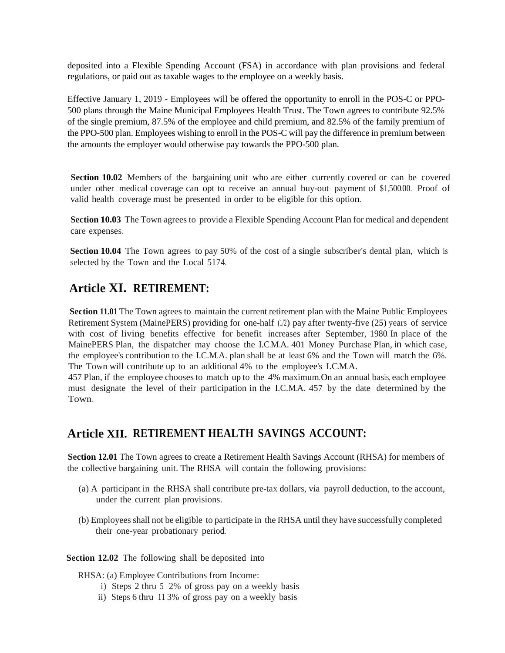deposited into a Flexible Spending Account (FSA) in accordance with plan provisions and federal regulations, or paid out as taxable wages to the employee on a weekly basis.

Effective January 1, 2019 - Employees will be offered the opportunity to enroll in the POS-C or PPO- 500 plans through the Maine Municipal Employees Health Trust. The Town agrees to contribute 92.5% of the single premium, 87.5% of the employee and child premium, and 82.5% of the family premium of the PPO-500 plan. Employees wishing to enroll in the POS-C will pay the difference in premium between the amounts the employer would otherwise pay towards the PPO-500 plan.

**Section 10.02** Members of the bargaining unit who are either currently covered or can be covered under other medical coverage can opt to receive an annual buy-out payment of \$1,500.00. Proof of valid health coverage must be presented in order to be eligible for this option.

**Section 10.03** The Town agrees to provide a Flexible Spending Account Plan for medical and dependent care expenses.

**Section 10.04** The Town agrees to pay 50% of the cost of a single subscriber's dental plan, which is selected by the Town and the Local 5174.

#### **Article XI. RETIREMENT:**

**Section 11.01** The Town agrees to maintain the current retirement plan with the Maine Public Employees Retirement System (MainePERS) providing for one-half (1/2) pay after twenty-five (25) years of service with cost of living benefits effective for benefit increases after September, 1980. In place of the MainePERS Plan, the dispatcher may choose the I.C.M.A. 401 Money Purchase Plan, in which case, the employee's contribution to the I.C.M.A. plan shall be at least 6% and the Town will match the 6%. The Town will contribute up to an additional 4% to the employee's I.C.M.A.

457 Plan, if the employee chooses to match up to the 4% maximum.On an annual basis, each employee must designate the level of their participation in the I.C.M.A. 457 by the date determined by the Town.

#### **Article XII. RETIREMENT HEALTH SAVINGS ACCOUNT:**

**Section 12.01** The Town agrees to create a Retirement Health Savings Account (RHSA) for members of the collective bargaining unit. The RHSA will contain the following provisions:

- (a) A participant in the RHSA shall contribute pre-tax dollars, via payroll deduction, to the account, under the current plan provisions.
- (b) Employees shall not be eligible to participate in the RHSA until they have successfully completed their one-year probationary period.

#### **Section 12.02** The following shall be deposited into

RHSA: (a) Employee Contributions from Income:

- i) Steps 2 thru 5 2% of gross pay on a weekly basis
- ii) Steps 6 thru 11 3% of gross pay on a weekly basis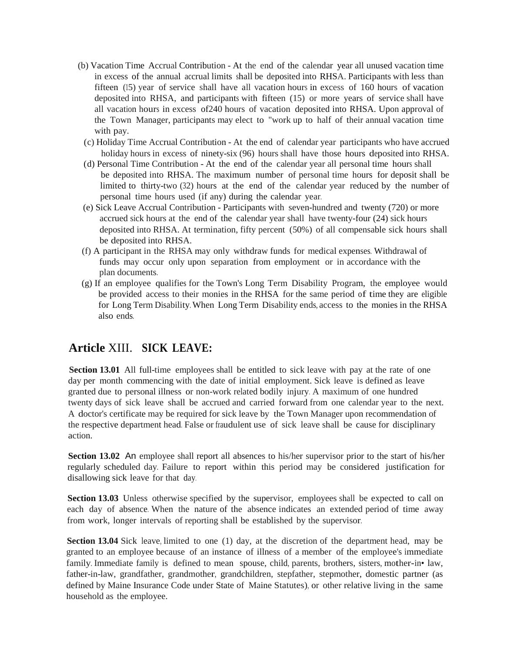- (b) Vacation Time Accrual Contribution At the end of the calendar year all unused vacation time in excess of the annual accrual limits shall be deposited into RHSA. Participants with less than fifteen (15) year of service shall have all vacation hours in excess of 160 hours of vacation deposited into RHSA, and participants with fifteen (15) or more years of service shall have all vacation hours in excess of240 hours of vacation deposited into RHSA. Upon approval of the Town Manager, participants may elect to "work up to half of their annual vacation time with pay.
	- (c) Holiday Time Accrual Contribution At the end of calendar year participants who have accrued holiday hours in excess of ninety-six (96) hours shall have those hours deposited into RHSA.
	- (d) Personal Time Contribution At the end of the calendar year all personal time hours shall be deposited into RHSA. The maximum number of personal time hours for deposit shall be limited to thirty-two (32) hours at the end of the calendar year reduced by the number of personal time hours used (if any) during the calendar year.
	- (e) Sick Leave Accrual Contribution Participants with seven-hundred and twenty (720) or more accrued sick hours at the end of the calendar year shall have twenty-four (24) sick hours deposited into RHSA. At termination, fifty percent (50%) of all compensable sick hours shall be deposited into RHSA.
- (f) A participant in the RHSA may only withdraw funds for medical expenses. Withdrawal of funds may occur only upon separation from employment or in accordance with the plan documents.
- (g) If an employee qualifies for the Town's Long Term Disability Program, the employee would be provided access to their monies in the RHSA for the same period of time they are eligible for Long Term Disability. When Long Term Disability ends, access to the monies in the RHSA also ends.

#### **Article** XIII. **SICK LEAVE:**

**Section 13.01** All full-time employees shall be entitled to sick leave with pay at the rate of one day per month commencing with the date of initial employment. Sick leave is defined as leave granted due to personal illness or non-work related bodily injury. A maximum of one hundred twenty days of sick leave shall be accrued and carried forward from one calendar year to the next. A doctor's certificate may be required for sick leave by the Town Manager upon recommendation of the respective department head. False or fraudulent use of sick leave shall be cause for disciplinary action.

**Section 13.02** An employee shall report all absences to his/her supervisor prior to the start of his/her regularly scheduled day. Failure to report within this period may be considered justification for disallowing sick leave for that day.

**Section 13.03** Unless otherwise specified by the supervisor, employees shall be expected to call on each day of absence. When the nature of the absence indicates an extended period of time away from work, longer intervals of reporting shall be established by the supervisor.

**Section 13.04** Sick leave, limited to one (1) day, at the discretion of the department head, may be granted to an employee because of an instance of illness of a member of the employee's immediate family. Immediate family is defined to mean spouse, child, parents, brothers, sisters, mother-in• law, father-in-law, grandfather, grandmother, grandchildren, stepfather, stepmother, domestic partner (as defined by Maine Insurance Code under State of Maine Statutes), or other relative living in the same household as the employee.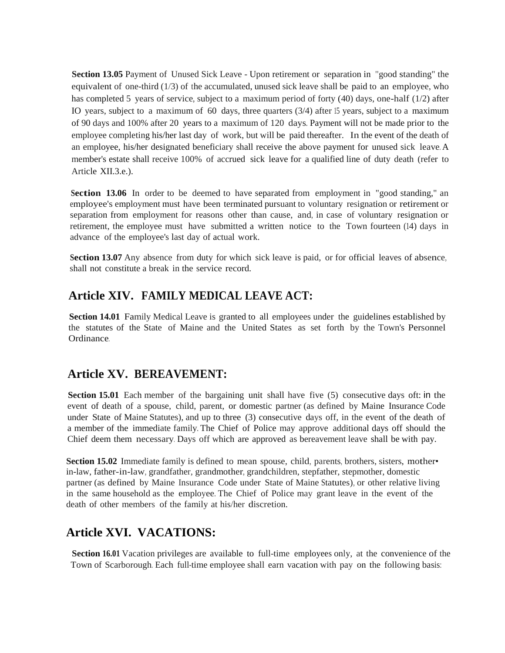**Section 13.05** Payment of Unused Sick Leave - Upon retirement or separation in "good standing" the equivalent of one-third (1/3) of the accumulated, unused sick leave shall be paid to an employee, who has completed 5 years of service, subject to a maximum period of forty (40) days, one-half (1/2) after IO years, subject to a maximum of 60 days, three quarters (3/4) after 15 years, subject to a maximum of 90 days and 100% after 20 years to a maximum of 120 days. Payment will not be made prior to the employee completing his/her last day of work, but will be paid thereafter. In the event of the death of an employee, his/her designated beneficiary shall receive the above payment for unused sick leave. A member's estate shall receive 100% of accrued sick leave for a qualified line of duty death (refer to Article XII.3.e.).

**Section 13.06** In order to be deemed to have separated from employment in "good standing," an employee's employment must have been terminated pursuant to voluntary resignation or retirement or separation from employment for reasons other than cause, and, in case of voluntary resignation or retirement, the employee must have submitted a written notice to the Town fourteen (14) days in advance of the employee's last day of actual work.

**Section 13.07** Any absence from duty for which sick leave is paid, or for official leaves of absence, shall not constitute a break in the service record.

### **Article XIV. FAMILY MEDICAL LEAVE ACT:**

**Section 14.01** Family Medical Leave is granted to all employees under the guidelines established by the statutes of the State of Maine and the United States as set forth by the Town's Personnel Ordinance.

### **Article XV. BEREAVEMENT:**

**Section 15.01** Each member of the bargaining unit shall have five (5) consecutive days oft: in the event of death of a spouse, child, parent, or domestic partner (as defined by Maine Insurance Code under State of Maine Statutes), and up to three (3) consecutive days off, in the event of the death of a member of the immediate family. The Chief of Police may approve additional days off should the Chief deem them necessary. Days off which are approved as bereavement leave shall be with pay.

**Section 15.02** Immediate family is defined to mean spouse, child, parents, brothers, sisters, mother• in-law, father-in-law, grandfather, grandmother, grandchildren, stepfather, stepmother, domestic partner (as defined by Maine Insurance Code under State of Maine Statutes), or other relative living in the same household as the employee. The Chief of Police may grant leave in the event of the death of other members of the family at his/her discretion.

### **Article XVI. VACATIONS:**

**Section 16.01** Vacation privileges are available to full-time employees only, at the convenience of the Town of Scarborough. Each full-time employee shall earn vacation with pay on the following basis: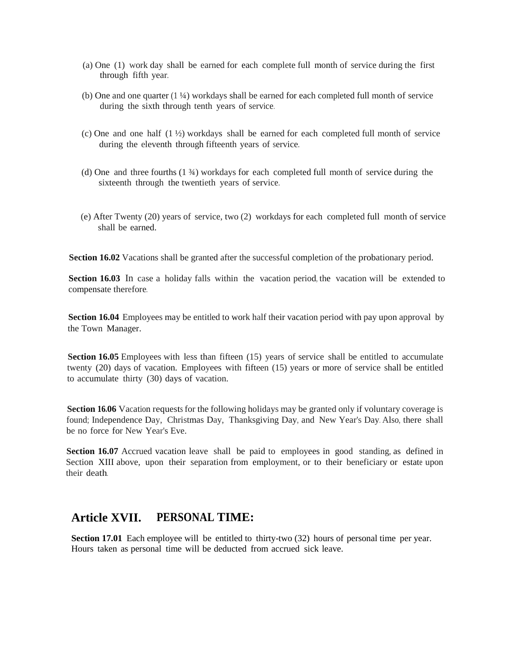- (a) One (1) work day shall be earned for each complete full month of service during the first through fifth year.
- (b) One and one quarter  $(1\frac{1}{4})$  workdays shall be earned for each completed full month of service during the sixth through tenth years of service.
- (c) One and one half  $(1 \frac{1}{2})$  workdays shall be earned for each completed full month of service during the eleventh through fifteenth years of service.
- (d) One and three fourths  $(1 \frac{3}{4})$  workdays for each completed full month of service during the sixteenth through the twentieth years of service.
- (e) After Twenty  $(20)$  years of service, two  $(2)$  workdays for each completed full month of service shall be earned.

**Section 16.02** Vacations shall be granted after the successful completion of the probationary period.

**Section 16.03** In case a holiday falls within the vacation period, the vacation will be extended to compensate therefore.

**Section 16.04** Employees may be entitled to work half their vacation period with pay upon approval by the Town Manager.

**Section 16.05** Employees with less than fifteen (15) years of service shall be entitled to accumulate twenty (20) days of vacation. Employees with fifteen (15) years or more of service shall be entitled to accumulate thirty (30) days of vacation.

**Section 16.06** Vacation requests for the following holidays may be granted only if voluntary coverage is found; Independence Day, Christmas Day, Thanksgiving Day, and New Year's Day. Also, there shall be no force for New Year's Eve.

**Section 16.07** Accrued vacation leave shall be paid to employees in good standing, as defined in Section XIII above, upon their separation from employment, or to their beneficiary or estate upon their death.

#### **Article XVII. PERSONAL TIME:**

**Section 17.01** Each employee will be entitled to thirty-two (32) hours of personal time per year. Hours taken as personal time will be deducted from accrued sick leave.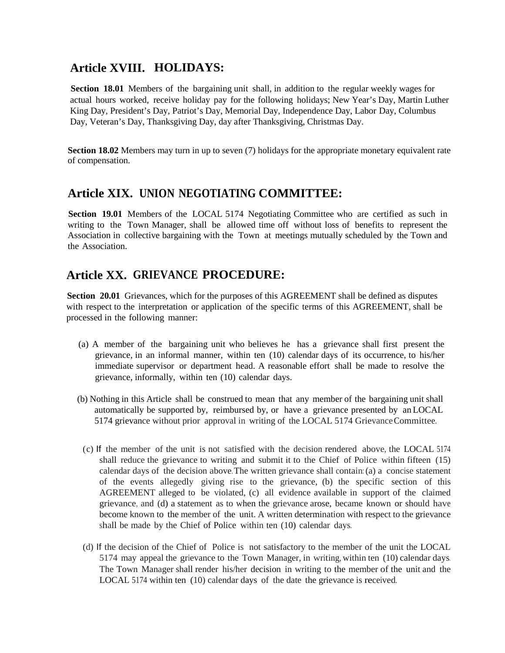### **Article XVIII. HOLIDAYS:**

**Section 18.01** Members of the bargaining unit shall, in addition to the regular weekly wages for actual hours worked, receive holiday pay for the following holidays; New Year's Day, Martin Luther King Day, President's Day, Patriot's Day, Memorial Day, Independence Day, Labor Day, Columbus Day, Veteran's Day, Thanksgiving Day, day after Thanksgiving, Christmas Day.

**Section 18.02** Members may turn in up to seven (7) holidays for the appropriate monetary equivalent rate of compensation.

#### **Article XIX. UNION NEGOTIATING COMMITTEE:**

**Section 19.01** Members of the LOCAL 5174 Negotiating Committee who are certified as such in writing to the Town Manager, shall be allowed time off without loss of benefits to represent the Association in collective bargaining with the Town at meetings mutually scheduled by the Town and the Association.

#### **Article XX. GRIEVANCE PROCEDURE:**

**Section 20.01** Grievances, which for the purposes of this AGREEMENT shall be defined as disputes with respect to the interpretation or application of the specific terms of this AGREEMENT, shall be processed in the following manner:

- (a) A member of the bargaining unit who believes he has a grievance shall first present the grievance, in an informal manner, within ten (10) calendar days of its occurrence, to his/her immediate supervisor or department head. A reasonable effort shall be made to resolve the grievance, informally, within ten (10) calendar days.
- (b) Nothing in this Article shall be construed to mean that any member of the bargaining unit shall automatically be supported by, reimbursed by, or have a grievance presented by an LOCAL 5174 grievance without prior approval in writing of the LOCAL 5174 GrievanceCommittee.
- (c) If the member of the unit is not satisfied with the decision rendered above, the LOCAL 5174 shall reduce the grievance to writing and submit it to the Chief of Police within fifteen (15) calendar days of the decision above. The written grievance shall contain: (a) a concise statement of the events allegedly giving rise to the grievance, (b) the specific section of this AGREEMENT alleged to be violated, (c) all evidence available in support of the claimed grievance, and (d) a statement as to when the grievance arose, became known orshould have become known to the member of the unit. A written determination with respect to the grievance shall be made by the Chief of Police within ten (10) calendar days.
- (d) If the decision of the Chief of Police is not satisfactory to the member of the unit the LOCAL 5174 may appeal the grievance to the Town Manager, in writing, within ten (10) calendar days. The Town Manager shall render his/her decision in writing to the member of the unit and the LOCAL 5174 within ten (10) calendar days of the date the grievance is received.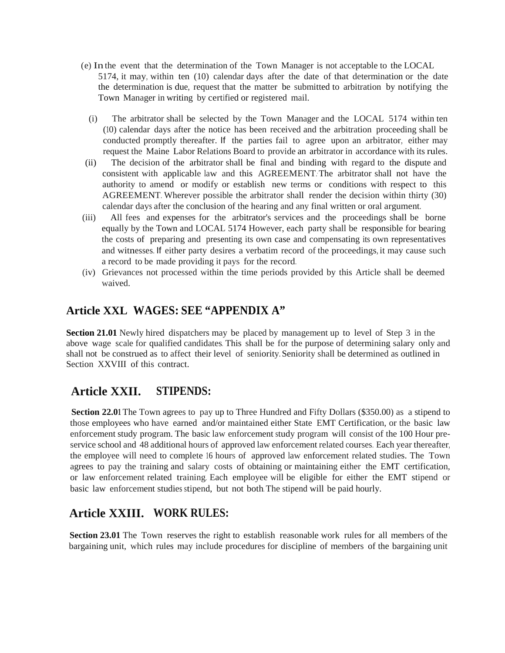- (e) Inthe event that the determination of the Town Manager is not acceptable to the LOCAL 5174, it may, within ten (10) calendar days after the date of that determination or the date the determination is due, request that the matter be submitted to arbitration by notifying the Town Manager in writing by certified or registered mail.
	- (i) The arbitrator shall be selected by the Town Manager and the LOCAL 5174 within ten (10) calendar days after the notice has been received and the arbitration proceeding shall be conducted promptly thereafter. If the parties fail to agree upon an arbitrator, either may request the Maine Labor Relations Board to provide an arbitrator in accordance with its rules.
- (ii) The decision of the arbitrator shall be final and binding with regard to the dispute and consistent with applicable law and this AGREEMENT. The arbitrator shall not have the authority to amend or modify or establish new terms or conditions with respect to this AGREEMENT. Wherever possible the arbitrator shall render the decision within thirty (30) calendar days after the conclusion of the hearing and any final written or oral argument.
- (iii) All fees and expenses for the arbitrator's services and the proceedings shall be borne equally by the Town and LOCAL 5174 However, each party shall be responsible for bearing the costs of preparing and presenting its own case and compensating its own representatives and witnesses. If either party desires a verbatim record ofthe proceedings, it may cause such a record to be made providing it pays for the record.
- (iv) Grievances not processed within the time periods provided by this Article shall be deemed waived.

#### **Article XXL WAGES: SEE "APPENDIX A"**

**Section 21.01** Newly hired dispatchers may be placed by management up to level of Step 3 in the above wage scale for qualified candidates. This shall be for the purpose of determining salary only and shall not be construed as to affect their level of seniority. Seniority shall be determined as outlined in Section XXVIII of this contract.

### **Article XXII. STIPENDS:**

**Section 22.01** The Town agrees to pay up to Three Hundred and Fifty Dollars (\$350.00) as a stipend to those employees who have earned and/or maintained either State EMT Certification, or the basic law enforcement study program. The basic law enforcement study program will consist of the 100 Hour pre service school and 48 additional hours of approved law enforcement related courses. Each year thereafter, the employee will need to complete 16 hours of approved law enforcement related studies. The Town agrees to pay the training and salary costs of obtaining or maintaining either the EMT certification, or law enforcement related training. Each employee will be eligible for either the EMT stipend or basic law enforcement studies stipend, but not both. The stipend will be paid hourly.

## **Article XXIII. WORK RULES:**

**Section 23.01** The Town reserves the right to establish reasonable work rules for all members of the bargaining unit, which rules may include procedures for discipline of members of the bargaining unit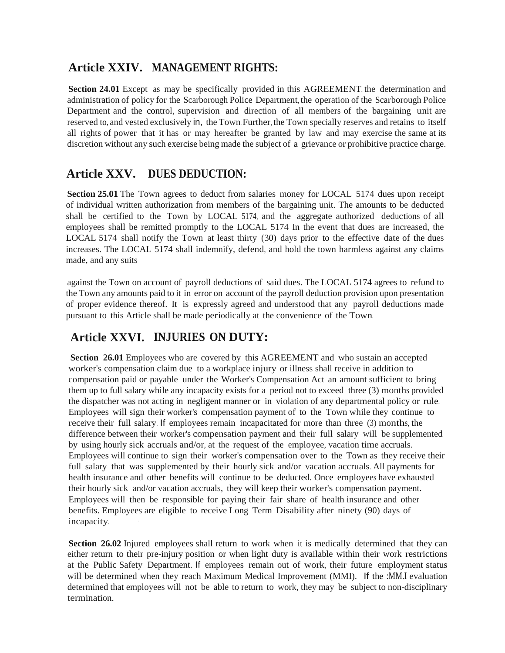### **Article XXIV. MANAGEMENT RIGHTS:**

**Section 24.01** Except as may be specifically provided in this AGREEMENT, the determination and administration of policy for the Scarborough Police Department, the operation of the Scarborough Police Department and the control, supervision and direction of all members of the bargaining unit are reserved to, and vested exclusively in, the Town. Further, the Town specially reserves and retains to itself all rights of power that it has or may hereafter be granted by law and may exercise the same at its discretion without any such exercise being made the subject of a grievance or prohibitive practice charge.

### **Article XXV. DUES DEDUCTION:**

**Section 25.01** The Town agrees to deduct from salaries money for LOCAL 5174 dues upon receipt of individual written authorization from members of the bargaining unit. The amounts to be deducted shall be certified to the Town by LOCAL 5174, and the aggregate authorized deductions of all employees shall be remitted promptly to the LOCAL 5174 In the event that dues are increased, the LOCAL 5174 shall notify the Town at least thirty (30) days prior to the effective date of the dues increases. The LOCAL 5174 shall indemnify, defend, and hold the town harmless against any claims made, and any suits

against the Town on account of payroll deductions of said dues. The LOCAL 5174 agrees to refund to the Town any amounts paid to it in error on account of the payroll deduction provision upon presentation of proper evidence thereof. It is expressly agreed and understood that any payroll deductions made pursuant to this Article shall be made periodically at the convenience of the Town.

## **Article XXVI. INJURIES ON DUTY:**

**Section 26.01** Employees who are covered by this AGREEMENT and who sustain an accepted worker's compensation claim due to a workplace injury or illness shall receive in addition to compensation paid or payable under the Worker's Compensation Act an amount sufficient to bring them up to full salary while any incapacity exists for a period not to exceed three (3) months provided the dispatcher was not acting in negligent manner or in violation of any departmental policy or rule. Employees will sign their worker's compensation payment of to the Town while they continue to receive their full salary. If employees remain incapacitated for more than three (3) months, the difference between their worker's compensation payment and their full salary will be supplemented by using hourly sick accruals and/or, at the request of the employee, vacation time accruals. Employees will continue to sign their worker's compensation over to the Town as they receive their full salary that was supplemented by their hourly sick and/or vacation accruals. All payments for health insurance and other benefits will continue to be deducted. Once employees have exhausted their hourly sick and/or vacation accruals, they will keep their worker's compensation payment. Employees will then be responsible for paying their fair share of health insurance and other benefits. Employees are eligible to receive Long Term Disability after ninety (90) days of incapacity.

**Section 26.02** Injured employees shall return to work when it is medically determined that they can either return to their pre-injury position orwhen light duty is available within their work restrictions at the Public Safety Department. If employees remain out of work, their future employment status will be determined when they reach Maximum Medical Improvement (MMI). If the :MM.I evaluation determined that employees will not be able to return to work, they may be subject to non-disciplinary termination.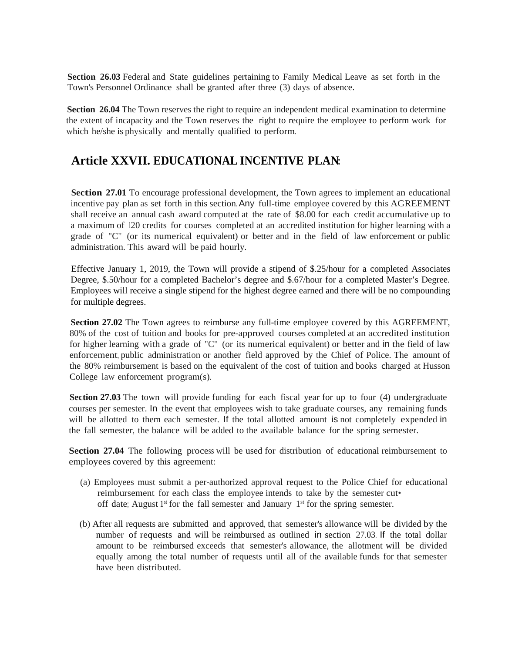**Section 26.03** Federal and State guidelines pertaining to Family Medical Leave as set forth in the Town's Personnel Ordinance shall be granted after three (3) days of absence.

**Section 26.04** The Town reserves the right to require an independent medical examination to determine the extent of incapacity and the Town reserves the right to require the employee to perform work for which he/she is physically and mentally qualified to perform.

### **Article XXVII. EDUCATIONAL INCENTIVE PLAN:**

**Section 27.01** To encourage professional development, the Town agrees to implement an educational incentive pay plan as set forth in this section. Any full-time employee covered by this AGREEMENT shall receive an annual cash award computed at the rate of \$8.00 for each credit accumulative up to a maximum of 120 credits for courses completed at an accredited institution for higher learning with a grade of "C" (or its numerical equivalent) or better and in the field of law enforcement or public administration. This award will be paid hourly.

Effective January 1, 2019, the Town will provide a stipend of \$.25/hour for a completed Associates Degree, \$.50/hour for a completed Bachelor's degree and \$.67/hour for a completed Master's Degree. Employees will receive a single stipend for the highest degree earned and there will be no compounding for multiple degrees.

**Section 27.02** The Town agrees to reimburse any full-time employee covered by this AGREEMENT, 80% of the cost of tuition and books for pre-approved courses completed at an accredited institution for higher learning with a grade of "C" (or its numerical equivalent) or better and in the field of law enforcement, public administration or another field approved by the Chief of Police. The amount of the 80% reimbursement is based on the equivalent of the cost of tuition and books charged at Husson College law enforcement program(s).

**Section 27.03** The town will provide funding for each fiscal year for up to four (4) undergraduate courses per semester. In the event that employees wish to take graduate courses, any remaining funds will be allotted to them each semester. If the total allotted amount is not completely expended in the fall semester, the balance will be added to the available balance for the spring semester.

**Section 27.04** The following process will be used for distribution of educational reimbursement to employees covered by this agreement:

- (a) Employees must submit a per-authorized approval request to the Police Chief for educational reimbursement for each class the employee intends to take by the semester cut• off date; August  $1<sup>st</sup>$  for the fall semester and January  $1<sup>st</sup>$  for the spring semester.
- (b) After all requests are submitted and approved, that semester's allowance will be divided by the number of requests and will be reimbursed as outlined in section 27.03. If the total dollar amount to be reimbursed exceeds that semester's allowance, the allotment will be divided equally among the total number of requests until all of the available funds for that semester have been distributed.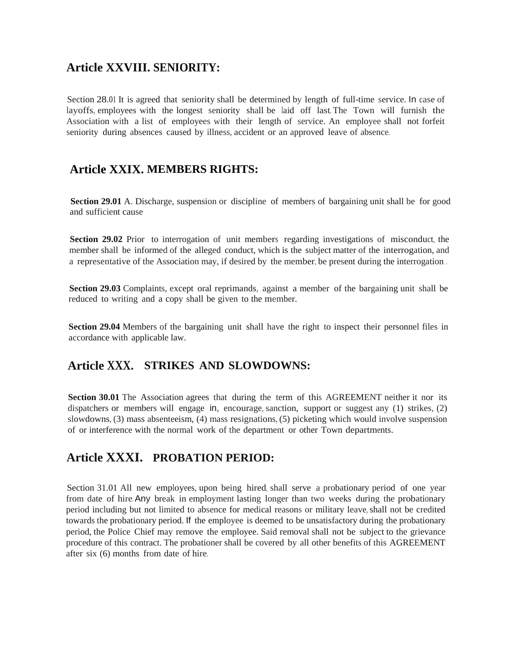### **Article XXVIII. SENIORITY:**

Section 28.01 It is agreed that seniority shall be determined by length of full-time service. In case of layoffs, employees with the longest seniority shall be laid off last. The Town will furnish the Association with a list of employees with their length of service. An employee shall not forfeit seniority during absences caused by illness, accident or an approved leave of absence.

#### **Article XXIX. MEMBERS RIGHTS:**

**Section 29.01** A. Discharge, suspension or discipline of members of bargaining unit shall be for good and sufficient cause

**Section 29.02** Prior to interrogation of unit members regarding investigations of misconduct, the member shall be informed of the alleged conduct, which is the subject matter of the interrogation, and a representative of the Association may, if desired by the member, be present during the interrogation .

**Section 29.03** Complaints, except oral reprimands, against a member of the bargaining unit shall be reduced to writing and a copy shall be given to the member.

**Section 29.04** Members of the bargaining unit shall have the right to inspect their personnel files in accordance with applicable law.

#### **Article XXX. STRIKES AND SLOWDOWNS:**

**Section 30.01** The Association agrees that during the term of this AGREEMENT neither it nor its dispatchers or members will engage in, encourage, sanction, support or suggest any (1) strikes, (2) slowdowns, (3) mass absenteeism, (4) mass resignations, (5) picketing which would involve suspension of or interference with the normal work of the department or other Town departments.

### **Article XXXI. PROBATION PERIOD:**

Section 31.01 All new employees, upon being hired, shall serve a probationary period of one year from date of hire. Any break in employment lasting longer than two weeks during the probationary period including butnot limited to absence for medical reasons or military leave, shall not be credited towards the probationary period. If the employee is deemed to be unsatisfactory during the probationary period, the Police Chief may remove the employee. Said removal shall not be subject to the grievance procedure of this contract. The probationer shall be covered by all other benefits of this AGREEMENT after six (6) months from date of hire.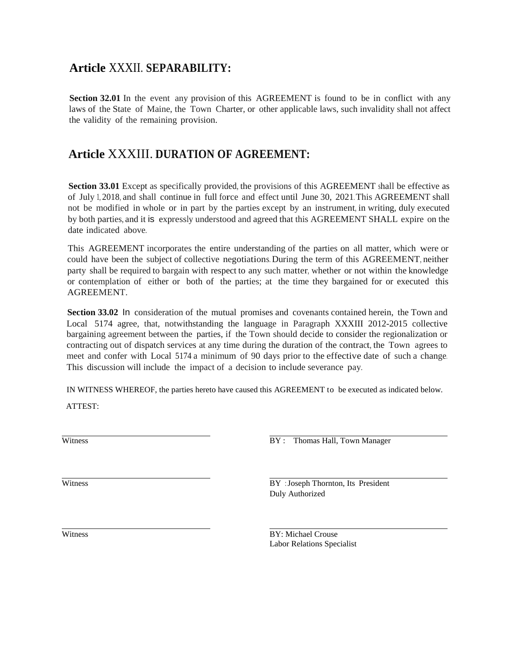### **Article** XXXII. **SEPARABILITY:**

**Section 32.01** In the event any provision of this AGREEMENT is found to be in conflict with any laws of the State of Maine, the Town Charter, or other applicable laws, such invalidity shall not affect the validity of the remaining provision.

### **Article** XXXIII. **DURATION OF AGREEMENT:**

**Section 33.01** Except as specifically provided, the provisions of this AGREEMENT shall be effective as of July 1, 2018, and shall continue in full force and effect until June 30, 2021. This AGREEMENT shall not be modified in whole or in part by the parties except by an instrument, in writing, duly executed by both parties, and it is expressly understood and agreed that this AGREEMENT SHALL expire on the date indicated above.

This AGREEMENT incorporates the entire understanding of the parties on all matter, which were or could have been the subject of collective negotiations. During the term of this AGREEMENT, neither party shall be required to bargain with respect to any such matter, whether or not within the knowledge or contemplation of either or both of the parties; at the time they bargained for or executed this AGREEMENT.

**Section 33.02** In consideration of the mutual promises and covenants contained herein, the Town and Local 5174 agree, that, notwithstanding the language in Paragraph XXXIII 2012-2015 collective bargaining agreement between the parties, if the Town should decide to consider the regionalization or contracting out of dispatch services at any time during the duration of the contract, the Town agrees to meet and confer with Local 5174 a minimum of 90 days prior to the effective date of such a change. This discussion will include the impact of a decision to include severance pay.

IN WITNESS WHEREOF, the parties hereto have caused this AGREEMENT to be executed as indicated below. ATTEST: ATTEST:<br>
MITNESS WIEKEOF, the parties hereto have caused this AOKEENENT to be executed as indicated<br>
ATTEST:<br>
BY : Thomas Hall, Town Manager

Witness BY : Joseph Thornton, Its President Duly Authorized

Witness BY: Michael Crouse Labor Relations Specialist